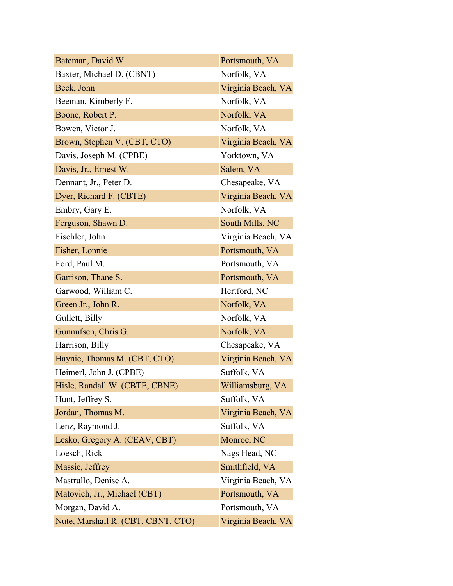| Bateman, David W.                  | Portsmouth, VA     |
|------------------------------------|--------------------|
| Baxter, Michael D. (CBNT)          | Norfolk, VA        |
| Beck, John                         | Virginia Beach, VA |
| Beeman, Kimberly F.                | Norfolk, VA        |
| Boone, Robert P.                   | Norfolk, VA        |
| Bowen, Victor J.                   | Norfolk, VA        |
| Brown, Stephen V. (CBT, CTO)       | Virginia Beach, VA |
| Davis, Joseph M. (CPBE)            | Yorktown, VA       |
| Davis, Jr., Ernest W.              | Salem, VA          |
| Dennant, Jr., Peter D.             | Chesapeake, VA     |
| Dyer, Richard F. (CBTE)            | Virginia Beach, VA |
| Embry, Gary E.                     | Norfolk, VA        |
| Ferguson, Shawn D.                 | South Mills, NC    |
| Fischler, John                     | Virginia Beach, VA |
| Fisher, Lonnie                     | Portsmouth, VA     |
| Ford, Paul M.                      | Portsmouth, VA     |
| Garrison, Thane S.                 | Portsmouth, VA     |
| Garwood, William C.                | Hertford, NC       |
| Green Jr., John R.                 | Norfolk, VA        |
| Gullett, Billy                     | Norfolk, VA        |
| Gunnufsen, Chris G.                | Norfolk, VA        |
| Harrison, Billy                    | Chesapeake, VA     |
| Haynie, Thomas M. (CBT, CTO)       | Virginia Beach, VA |
| Heimerl, John J. (CPBE)            | Suffolk, VA        |
| Hisle, Randall W. (CBTE, CBNE)     | Williamsburg, VA   |
| Hunt, Jeffrey S.                   | Suffolk, VA        |
| Jordan, Thomas M.                  | Virginia Beach, VA |
| Lenz, Raymond J.                   | Suffolk, VA        |
| Lesko, Gregory A. (CEAV, CBT)      | Monroe, NC         |
| Loesch, Rick                       | Nags Head, NC      |
| Massie, Jeffrey                    | Smithfield, VA     |
| Mastrullo, Denise A.               | Virginia Beach, VA |
| Matovich, Jr., Michael (CBT)       | Portsmouth, VA     |
| Morgan, David A.                   | Portsmouth, VA     |
| Nute, Marshall R. (CBT, CBNT, CTO) | Virginia Beach, VA |